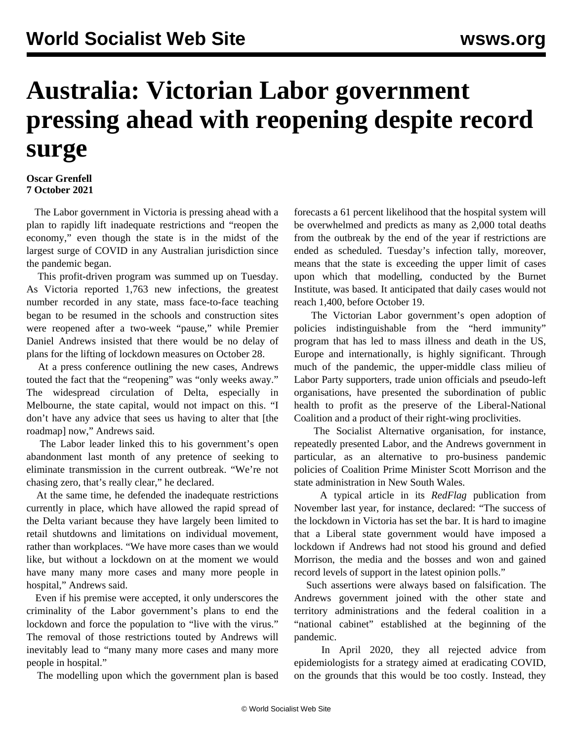## **Australia: Victorian Labor government pressing ahead with reopening despite record surge**

## **Oscar Grenfell 7 October 2021**

 The Labor government in Victoria is pressing ahead with a plan to rapidly lift inadequate restrictions and "reopen the economy," even though the state is in the midst of the largest surge of COVID in any Australian jurisdiction since the pandemic began.

 This profit-driven program was summed up on Tuesday. As Victoria reported 1,763 new infections, the greatest number recorded in any state, mass face-to-face teaching began to be resumed in the schools and construction sites were reopened after a two-week "pause," while Premier Daniel Andrews insisted that there would be no delay of plans for the lifting of lockdown measures on October 28.

 At a press conference outlining the new cases, Andrews touted the fact that the "reopening" was "only weeks away." The widespread circulation of Delta, especially in Melbourne, the state capital, would not impact on this. "I don't have any advice that sees us having to alter that [the roadmap] now," Andrews said.

 The Labor leader linked this to his government's open abandonment last month of any pretence of seeking to eliminate transmission in the current outbreak. "We're not chasing zero, that's really clear," he declared.

 At the same time, he defended the inadequate restrictions currently in place, which have allowed the rapid spread of the Delta variant because they have largely been limited to retail shutdowns and limitations on individual movement, rather than workplaces. "We have more cases than we would like, but without a lockdown on at the moment we would have many many more cases and many more people in hospital," Andrews said.

 Even if his premise were accepted, it only underscores the criminality of the Labor government's plans to end the lockdown and force the population to "live with the virus." The removal of those restrictions touted by Andrews will inevitably lead to "many many more cases and many more people in hospital."

The modelling upon which the government plan is based

forecasts a 61 percent likelihood that the hospital system will be overwhelmed and predicts as many as 2,000 total deaths from the outbreak by the end of the year if restrictions are ended as scheduled. Tuesday's infection tally, moreover, means that the state is exceeding the upper limit of cases upon which that modelling, conducted by the Burnet Institute, was based. It anticipated that daily cases would not reach 1,400, before October 19.

 The Victorian Labor government's open adoption of policies indistinguishable from the "herd immunity" program that has led to mass illness and death in the US, Europe and internationally, is highly significant. Through much of the pandemic, the upper-middle class milieu of Labor Party supporters, trade union officials and pseudo-left organisations, have presented the subordination of public health to profit as the preserve of the Liberal-National Coalition and a product of their right-wing proclivities.

 The Socialist Alternative organisation, for instance, repeatedly presented Labor, and the Andrews government in particular, as an alternative to pro-business pandemic policies of Coalition Prime Minister Scott Morrison and the state administration in New South Wales.

 A typical article in its *RedFlag* publication from November last year, for instance, declared: "The success of the lockdown in Victoria has set the bar. It is hard to imagine that a Liberal state government would have imposed a lockdown if Andrews had not stood his ground and defied Morrison, the media and the bosses and won and gained record levels of support in the latest opinion polls."

 Such assertions were always based on falsification. The Andrews government joined with the other state and territory administrations and the federal coalition in a "national cabinet" established at the beginning of the pandemic.

 In April 2020, they all rejected advice from epidemiologists for a strategy aimed at eradicating COVID, on the grounds that this would be too costly. Instead, they